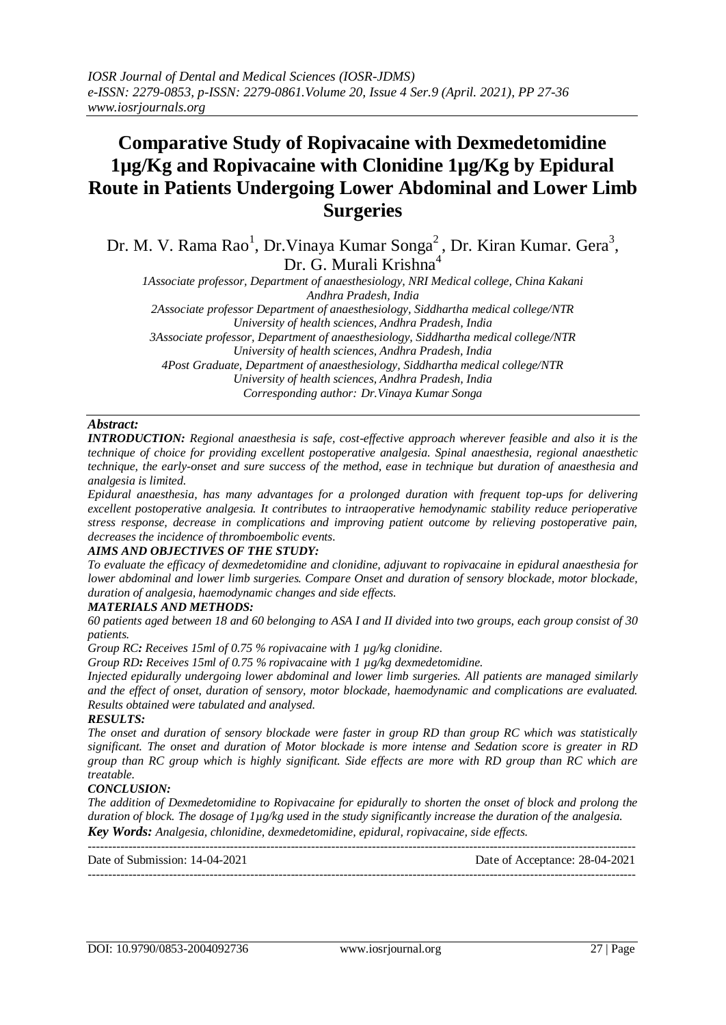# **Comparative Study of Ropivacaine with Dexmedetomidine 1µg/Kg and Ropivacaine with Clonidine 1µg/Kg by Epidural Route in Patients Undergoing Lower Abdominal and Lower Limb Surgeries**

Dr. M. V. Rama Rao<sup>1</sup>, Dr. Vinaya Kumar Songa<sup>2</sup>, Dr. Kiran Kumar. Gera<sup>3</sup>, Dr. G. Murali Krishna<sup>4</sup>

*1Associate professor, Department of anaesthesiology, NRI Medical college, China Kakani Andhra Pradesh, India*

*2Associate professor Department of anaesthesiology, Siddhartha medical college/NTR University of health sciences, Andhra Pradesh, India*

*3Associate professor, Department of anaesthesiology, Siddhartha medical college/NTR University of health sciences, Andhra Pradesh, India 4Post Graduate, Department of anaesthesiology, Siddhartha medical college/NTR University of health sciences, Andhra Pradesh, India*

*Corresponding author: Dr.Vinaya Kumar Songa*

# *Abstract:*

*INTRODUCTION: Regional anaesthesia is safe, cost-effective approach wherever feasible and also it is the technique of choice for providing excellent postoperative analgesia. Spinal anaesthesia, regional anaesthetic technique, the early-onset and sure success of the method, ease in technique but duration of anaesthesia and analgesia is limited.*

*Epidural anaesthesia, has many advantages for a prolonged duration with frequent top-ups for delivering excellent postoperative analgesia. It contributes to intraoperative hemodynamic stability reduce perioperative stress response, decrease in complications and improving patient outcome by relieving postoperative pain, decreases the incidence of thromboembolic events.*

## *AIMS AND OBJECTIVES OF THE STUDY:*

*To evaluate the efficacy of dexmedetomidine and clonidine, adjuvant to ropivacaine in epidural anaesthesia for lower abdominal and lower limb surgeries. Compare Onset and duration of sensory blockade, motor blockade, duration of analgesia, haemodynamic changes and side effects.*

# *MATERIALS AND METHODS:*

*60 patients aged between 18 and 60 belonging to ASA I and II divided into two groups, each group consist of 30 patients.*

*Group RC: Receives 15ml of 0.75 % ropivacaine with 1 µg/kg clonidine.*

*Group RD: Receives 15ml of 0.75 % ropivacaine with 1 µg/kg dexmedetomidine.*

*Injected epidurally undergoing lower abdominal and lower limb surgeries. All patients are managed similarly and the effect of onset, duration of sensory, motor blockade, haemodynamic and complications are evaluated. Results obtained were tabulated and analysed.*

## *RESULTS:*

*The onset and duration of sensory blockade were faster in group RD than group RC which was statistically significant. The onset and duration of Motor blockade is more intense and Sedation score is greater in RD group than RC group which is highly significant. Side effects are more with RD group than RC which are treatable.*

# *CONCLUSION:*

*The addition of Dexmedetomidine to Ropivacaine for epidurally to shorten the onset of block and prolong the duration of block. The dosage of 1µg/kg used in the study significantly increase the duration of the analgesia. Key Words: Analgesia, chlonidine, dexmedetomidine, epidural, ropivacaine, side effects.*

--------------------------------------------------------------------------------------------------------------------------------------- Date of Submission: 14-04-2021 Date of Acceptance: 28-04-2021 ---------------------------------------------------------------------------------------------------------------------------------------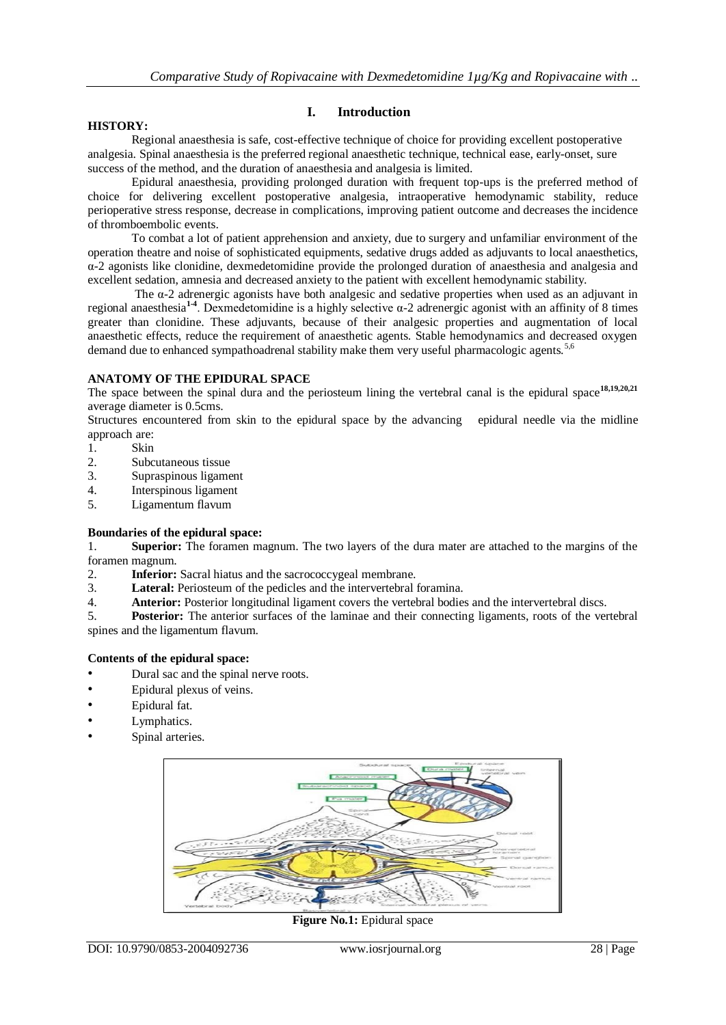## **HISTORY:**

# **I. Introduction**

Regional anaesthesia is safe, cost-effective technique of choice for providing excellent postoperative analgesia. Spinal anaesthesia is the preferred regional anaesthetic technique, technical ease, early-onset, sure success of the method, and the duration of anaesthesia and analgesia is limited.

Epidural anaesthesia, providing prolonged duration with frequent top-ups is the preferred method of choice for delivering excellent postoperative analgesia, intraoperative hemodynamic stability, reduce perioperative stress response, decrease in complications, improving patient outcome and decreases the incidence of thromboembolic events.

To combat a lot of patient apprehension and anxiety, due to surgery and unfamiliar environment of the operation theatre and noise of sophisticated equipments, sedative drugs added as adjuvants to local anaesthetics, α-2 agonists like clonidine, dexmedetomidine provide the prolonged duration of anaesthesia and analgesia and excellent sedation, amnesia and decreased anxiety to the patient with excellent hemodynamic stability.

The  $\alpha$ -2 adrenergic agonists have both analgesic and sedative properties when used as an adjuvant in regional anaesthesia**1-4** . Dexmedetomidine is a highly selective α-2 adrenergic agonist with an affinity of 8 times greater than clonidine. These adjuvants, because of their analgesic properties and augmentation of local anaesthetic effects, reduce the requirement of anaesthetic agents. Stable hemodynamics and decreased oxygen demand due to enhanced sympathoadrenal stability make them very useful pharmacologic agents.<sup>5,6</sup>

# **ANATOMY OF THE EPIDURAL SPACE**

The space between the spinal dura and the periosteum lining the vertebral canal is the epidural space**18,19,20,21** average diameter is 0.5cms.

Structures encountered from skin to the epidural space by the advancing epidural needle via the midline approach are:

- 1. Skin
- 2. Subcutaneous tissue
- 3. Supraspinous ligament
- 4. Interspinous ligament
- 5. Ligamentum flavum

# **Boundaries of the epidural space:**

1. **Superior:** The foramen magnum. The two layers of the dura mater are attached to the margins of the foramen magnum.

- 2. **Inferior:** Sacral hiatus and the sacrococcygeal membrane.
- 3. **Lateral:** Periosteum of the pedicles and the intervertebral foramina.
- 4. **Anterior:** Posterior longitudinal ligament covers the vertebral bodies and the intervertebral discs.

5. **Posterior:** The anterior surfaces of the laminae and their connecting ligaments, roots of the vertebral spines and the ligamentum flavum.

# **Contents of the epidural space:**

- Dural sac and the spinal nerve roots.
- Epidural plexus of veins.
- Epidural fat.
- Lymphatics.
- Spinal arteries.



Figure No.1: Epidural space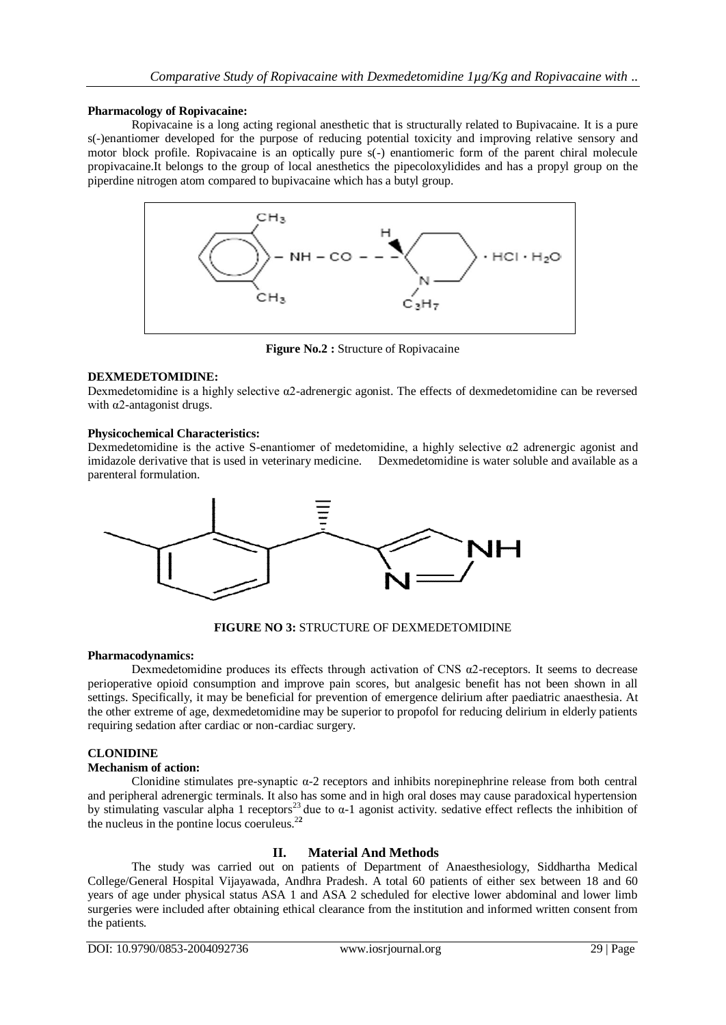## **Pharmacology of Ropivacaine:**

Ropivacaine is a long acting regional anesthetic that is structurally related to Bupivacaine. It is a pure s(-)enantiomer developed for the purpose of reducing potential toxicity and improving relative sensory and motor block profile. Ropivacaine is an optically pure s(-) enantiomeric form of the parent chiral molecule propivacaine.It belongs to the group of local anesthetics the pipecoloxylidides and has a propyl group on the piperdine nitrogen atom compared to bupivacaine which has a butyl group.



**Figure No.2 :** Structure of Ropivacaine

# **DEXMEDETOMIDINE:**

Dexmedetomidine is a highly selective α2-adrenergic agonist. The effects of dexmedetomidine can be reversed with α2-antagonist drugs.

## **Physicochemical Characteristics:**

Dexmedetomidine is the active S-enantiomer of medetomidine, a highly selective  $\alpha$ 2 adrenergic agonist and imidazole derivative that is used in veterinary medicine. Dexmedetomidine is water soluble and available as a parenteral formulation.



**FIGURE NO 3:** STRUCTURE OF DEXMEDETOMIDINE

## **Pharmacodynamics:**

Dexmedetomidine produces its effects through activation of CNS  $\alpha$ 2-receptors. It seems to decrease perioperative opioid consumption and improve pain scores, but analgesic benefit has not been shown in all settings. Specifically, it may be beneficial for prevention of emergence delirium after paediatric anaesthesia. At the other extreme of age, dexmedetomidine may be superior to propofol for reducing delirium in elderly patients requiring sedation after cardiac or non-cardiac surgery.

# **CLONIDINE**

# **Mechanism of action:**

Clonidine stimulates pre-synaptic  $\alpha$ -2 receptors and inhibits norepinephrine release from both central and peripheral adrenergic terminals. It also has some and in high oral doses may cause paradoxical hypertension by stimulating vascular alpha 1 receptors<sup>23</sup> due to  $\alpha$ -1 agonist activity. sedative effect reflects the inhibition of the nucleus in the pontine locus coeruleus.<sup>2</sup>**<sup>2</sup>**

# **II. Material And Methods**

The study was carried out on patients of Department of Anaesthesiology, Siddhartha Medical College/General Hospital Vijayawada, Andhra Pradesh. A total 60 patients of either sex between 18 and 60 years of age under physical status ASA 1 and ASA 2 scheduled for elective lower abdominal and lower limb surgeries were included after obtaining ethical clearance from the institution and informed written consent from the patients.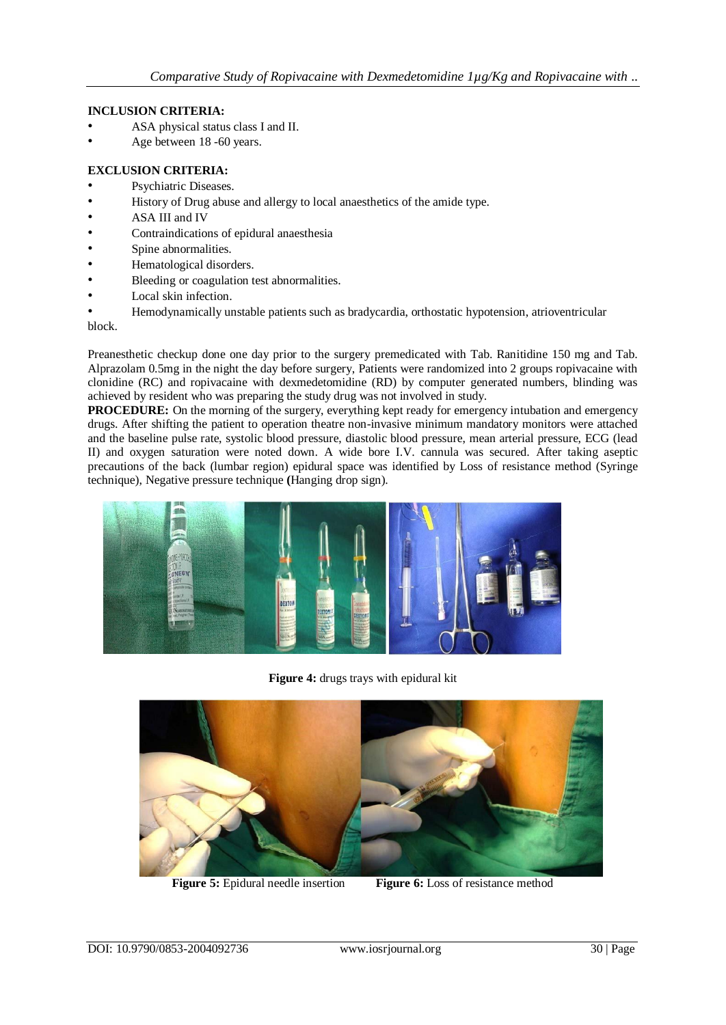## **INCLUSION CRITERIA:**

- ASA physical status class I and II.
- Age between 18 -60 years.

# **EXCLUSION CRITERIA:**

- Psychiatric Diseases.
- History of Drug abuse and allergy to local anaesthetics of the amide type.
- ASA III and IV
- Contraindications of epidural anaesthesia
- Spine abnormalities.
- Hematological disorders.
- Bleeding or coagulation test abnormalities.
- Local skin infection.
- Hemodynamically unstable patients such as bradycardia, orthostatic hypotension, atrioventricular

block.

Preanesthetic checkup done one day prior to the surgery premedicated with Tab. Ranitidine 150 mg and Tab. Alprazolam 0.5mg in the night the day before surgery, Patients were randomized into 2 groups ropivacaine with clonidine (RC) and ropivacaine with dexmedetomidine (RD) by computer generated numbers, blinding was achieved by resident who was preparing the study drug was not involved in study.

**PROCEDURE:** On the morning of the surgery, everything kept ready for emergency intubation and emergency drugs. After shifting the patient to operation theatre non-invasive minimum mandatory monitors were attached and the baseline pulse rate, systolic blood pressure, diastolic blood pressure, mean arterial pressure, ECG (lead II) and oxygen saturation were noted down. A wide bore I.V. cannula was secured. After taking aseptic precautions of the back (lumbar region) epidural space was identified by Loss of resistance method (Syringe technique), Negative pressure technique **(**Hanging drop sign).



**Figure 4:** drugs trays with epidural kit



**Figure 5:** Epidural needle insertion **Figure 6:** Loss of resistance method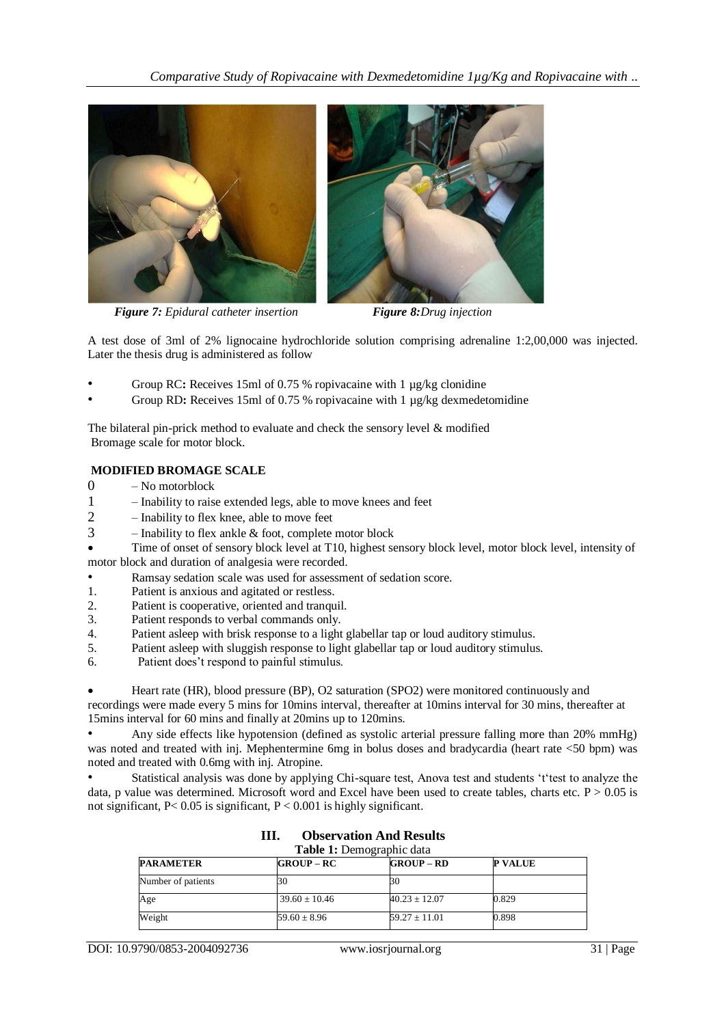

*Figure 7: Epidural catheter insertion Figure 8:Drug injection*



A test dose of 3ml of 2% lignocaine hydrochloride solution comprising adrenaline 1:2,00,000 was injected. Later the thesis drug is administered as follow

- Group RC**:** Receives 15ml of 0.75 % ropivacaine with 1 µg/kg clonidine
- Group RD**:** Receives 15ml of 0.75 % ropivacaine with 1 µg/kg dexmedetomidine

The bilateral pin-prick method to evaluate and check the sensory level  $\&$  modified Bromage scale for motor block.

# **MODIFIED BROMAGE SCALE**

- 0 No motorblock
- 1 Inability to raise extended legs, able to move knees and feet
- 2 Inability to flex knee, able to move feet
- $3$  Inability to flex ankle  $\&$  foot, complete motor block
- Time of onset of sensory block level at T10, highest sensory block level, motor block level, intensity of motor block and duration of analgesia were recorded.
- Ramsay sedation scale was used for assessment of sedation score.
- 1. Patient is anxious and agitated or restless.
- 2. Patient is cooperative, oriented and tranquil.
- 3. Patient responds to verbal commands only.
- 4. Patient asleep with brisk response to a light glabellar tap or loud auditory stimulus.
- 5. Patient asleep with sluggish response to light glabellar tap or loud auditory stimulus.
- 6. Patient does't respond to painful stimulus.

 Heart rate (HR), blood pressure (BP), O2 saturation (SPO2) were monitored continuously and recordings were made every 5 mins for 10mins interval, thereafter at 10mins interval for 30 mins, thereafter at 15mins interval for 60 mins and finally at 20mins up to 120mins.

• Any side effects like hypotension (defined as systolic arterial pressure falling more than 20% mmHg) was noted and treated with inj. Mephentermine 6mg in bolus doses and bradycardia (heart rate <50 bpm) was noted and treated with 0.6mg with inj. Atropine.

Statistical analysis was done by applying Chi-square test, Anova test and students 't'test to analyze the data, p value was determined. Microsoft word and Excel have been used to create tables, charts etc.  $P > 0.05$  is not significant,  $P < 0.05$  is significant,  $P < 0.001$  is highly significant.

| <b>Table 1:</b> Demographic data |                   |                   |                |  |
|----------------------------------|-------------------|-------------------|----------------|--|
| <b>PARAMETER</b>                 | $GROUP-RC$        | $GROUP - RD$      | <b>P VALUE</b> |  |
| Number of patients               | 30                | 30                |                |  |
| Age                              | $39.60 \pm 10.46$ | $40.23 \pm 12.07$ | 0.829          |  |
| Weight                           | $59.60 \pm 8.96$  | $59.27 \pm 11.01$ | 0.898          |  |

**III. Observation And Results**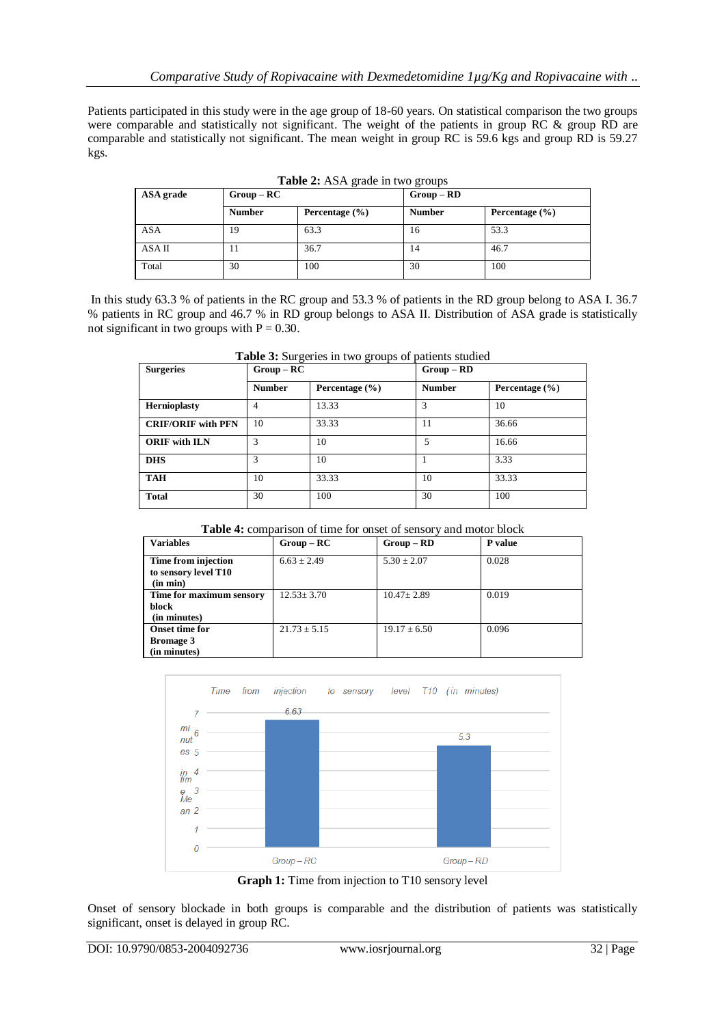Patients participated in this study were in the age group of 18-60 years. On statistical comparison the two groups were comparable and statistically not significant. The weight of the patients in group RC & group RD are comparable and statistically not significant. The mean weight in group RC is 59.6 kgs and group RD is 59.27 kgs.

| ASA grade  | ີ<br>$Group - RC$ |                    | $Group - RD$  |                    |  |
|------------|-------------------|--------------------|---------------|--------------------|--|
|            | <b>Number</b>     | Percentage $(\% )$ | <b>Number</b> | Percentage $(\% )$ |  |
| <b>ASA</b> | 19                | 63.3               | 16            | 53.3               |  |
| ASA II     | 11                | 36.7               | 14            | 46.7               |  |
| Total      | 30                | 100                | 30            | 100                |  |

**Table 2:** ASA grade in two groups

In this study 63.3 % of patients in the RC group and 53.3 % of patients in the RD group belong to ASA I. 36.7 % patients in RC group and 46.7 % in RD group belongs to ASA II. Distribution of ASA grade is statistically not significant in two groups with  $P = 0.30$ .

| <b>Surgeries</b>          | $Group - RC$  |                    | $Group - RD$  |                    |
|---------------------------|---------------|--------------------|---------------|--------------------|
|                           | <b>Number</b> | Percentage $(\% )$ | <b>Number</b> | Percentage $(\% )$ |
| <b>Hernioplasty</b>       | 4             | 13.33              | 3             | 10                 |
| <b>CRIF/ORIF with PFN</b> | 10            | 33.33              | 11            | 36.66              |
| <b>ORIF</b> with ILN      | 3             | 10                 | 5             | 16.66              |
| <b>DHS</b>                | 3             | 10                 |               | 3.33               |
| <b>TAH</b>                | 10            | 33.33              | 10            | 33.33              |
| <b>Total</b>              | 30            | 100                | 30            | 100                |

**Table 3:** Surgeries in two groups of patients studied

## **Table 4:** comparison of time for onset of sensory and motor block

| <b>Variables</b>                                          | $Group-RC$       | $Group - RD$     | P value |
|-----------------------------------------------------------|------------------|------------------|---------|
| Time from injection<br>to sensory level T10<br>(in min)   | $6.63 \pm 2.49$  | $5.30 \pm 2.07$  | 0.028   |
| Time for maximum sensory<br>block<br>(in minutes)         | $12.53 \pm 3.70$ | $10.47 \pm 2.89$ | 0.019   |
| <b>Onset time for</b><br><b>Bromage 3</b><br>(in minutes) | $21.73 \pm 5.15$ | $19.17 \pm 6.50$ | 0.096   |



**Graph 1:** Time from injection to T10 sensory level

Onset of sensory blockade in both groups is comparable and the distribution of patients was statistically significant, onset is delayed in group RC.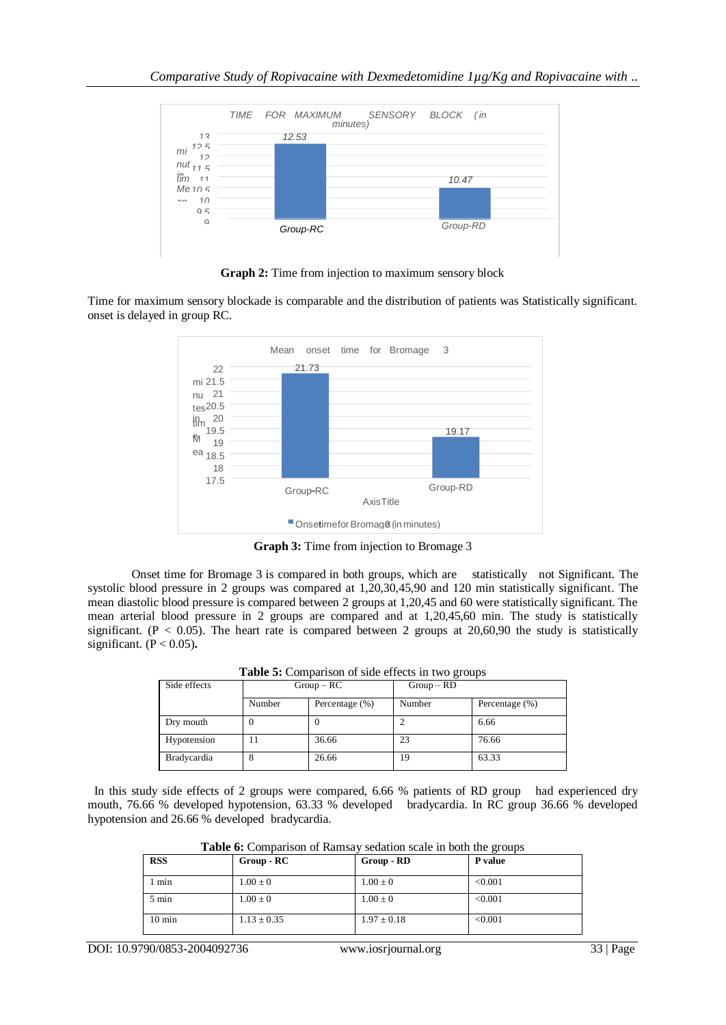

**Graph 2:** Time from injection to maximum sensory block

Time for maximum sensory blockade is comparable and the distribution of patients was Statistically significant. onset is delayed in group RC.



**Graph 3:** Time from injection to Bromage 3

Onset time for Bromage 3 is compared in both groups, which are statistically not Significant. The systolic blood pressure in 2 groups was compared at 1,20,30,45,90 and 120 min statistically significant. The mean diastolic blood pressure is compared between 2 groups at 1,20,45 and 60 were statistically significant. The mean arterial blood pressure in 2 groups are compared and at 1,20,45,60 min. The study is statistically significant. ( $P < 0.05$ ). The heart rate is compared between 2 groups at 20,60,90 the study is statistically significant. (P < 0.05)**.**

| <b>THERE</b> $\sigma$ . Comparison of side effects in two groups |              |                   |              |                   |
|------------------------------------------------------------------|--------------|-------------------|--------------|-------------------|
| Side effects                                                     | $Group - RC$ |                   | $Group - RD$ |                   |
|                                                                  | Number       | Percentage $(\%)$ | Number       | Percentage $(\%)$ |
| Dry mouth                                                        |              |                   |              | 6.66              |
| Hypotension                                                      |              | 36.66             | 23           | 76.66             |
| <b>Bradycardia</b>                                               | 8            | 26.66             | 19           | 63.33             |

**Table 5:** Comparison of side effects in two groups

In this study side effects of 2 groups were compared, 6.66 % patients of RD group had experienced dry mouth, 76.66 % developed hypotension, 63.33 % developed bradycardia. In RC group 36.66 % developed hypotension and 26.66 % developed bradycardia.

| Table 6: Comparison of Ramsay sedation scale in both the groups |  |  |
|-----------------------------------------------------------------|--|--|
|-----------------------------------------------------------------|--|--|

| <b>RSS</b>       | $Group - RC$    | Group - RD      | P value |
|------------------|-----------------|-----------------|---------|
| $1$ min          | $1.00 \pm 0$    | $1.00 \pm 0$    | < 0.001 |
| $5 \text{ min}$  | $1.00 \pm 0$    | $1.00 \pm 0$    | < 0.001 |
| $10 \text{ min}$ | $1.13 \pm 0.35$ | $1.97 \pm 0.18$ | < 0.001 |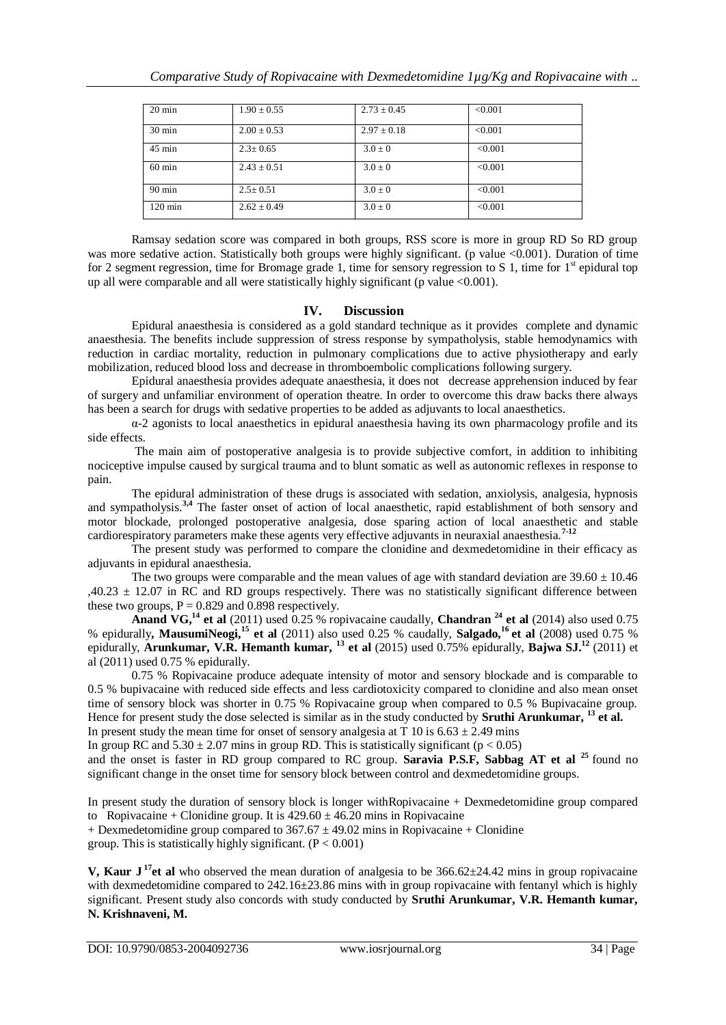| $20 \text{ min}$  | $1.90 \pm 0.55$ | $2.73 \pm 0.45$ | < 0.001 |
|-------------------|-----------------|-----------------|---------|
| $30 \text{ min}$  | $2.00 \pm 0.53$ | $2.97 \pm 0.18$ | < 0.001 |
| $45 \text{ min}$  | $2.3 \pm 0.65$  | $3.0 \pm 0$     | < 0.001 |
| $60 \text{ min}$  | $2.43 + 0.51$   | $3.0 + 0$       | < 0.001 |
| $90 \text{ min}$  | $2.5 \pm 0.51$  | $3.0 \pm 0$     | < 0.001 |
| $120 \text{ min}$ | $2.62 \pm 0.49$ | $3.0 \pm 0$     | < 0.001 |

Ramsay sedation score was compared in both groups, RSS score is more in group RD So RD group was more sedative action. Statistically both groups were highly significant. (p value <0.001). Duration of time for 2 segment regression, time for Bromage grade 1, time for sensory regression to S 1, time for  $1<sup>st</sup>$  epidural top up all were comparable and all were statistically highly significant (p value <0.001).

# **IV. Discussion**

Epidural anaesthesia is considered as a gold standard technique as it provides complete and dynamic anaesthesia. The benefits include suppression of stress response by sympatholysis, stable hemodynamics with reduction in cardiac mortality, reduction in pulmonary complications due to active physiotherapy and early mobilization, reduced blood loss and decrease in thromboembolic complications following surgery.

Epidural anaesthesia provides adequate anaesthesia, it does not decrease apprehension induced by fear of surgery and unfamiliar environment of operation theatre. In order to overcome this draw backs there always has been a search for drugs with sedative properties to be added as adjuvants to local anaesthetics.

α-2 agonists to local anaesthetics in epidural anaesthesia having its own pharmacology profile and its side effects.

The main aim of postoperative analgesia is to provide subjective comfort, in addition to inhibiting nociceptive impulse caused by surgical trauma and to blunt somatic as well as autonomic reflexes in response to pain.

The epidural administration of these drugs is associated with sedation, anxiolysis, analgesia, hypnosis and sympatholysis.**3,4** The faster onset of action of local anaesthetic, rapid establishment of both sensory and motor blockade, prolonged postoperative analgesia, dose sparing action of local anaesthetic and stable cardiorespiratory parameters make these agents very effective adjuvants in neuraxial anaesthesia.**7-12**

The present study was performed to compare the clonidine and dexmedetomidine in their efficacy as adjuvants in epidural anaesthesia.

The two groups were comparable and the mean values of age with standard deviation are  $39.60 \pm 10.46$ ,40.23  $\pm$  12.07 in RC and RD groups respectively. There was no statistically significant difference between these two groups,  $P = 0.829$  and 0.898 respectively.

**Anand VG,<sup>14</sup> et al** (2011) used 0.25 % ropivacaine caudally, **Chandran <sup>24</sup> et al** (2014) also used 0.75 % epidurally**, MausumiNeogi,<sup>15</sup> et al** (2011) also used 0.25 % caudally, **Salgado,<sup>16</sup> et al** (2008) used 0.75 % epidurally, **Arunkumar, V.R. Hemanth kumar, <sup>13</sup> et al** (2015) used 0.75% epidurally, **Bajwa SJ.<sup>12</sup>** (2011) et al (2011) used 0.75 % epidurally.

0.75 % Ropivacaine produce adequate intensity of motor and sensory blockade and is comparable to 0.5 % bupivacaine with reduced side effects and less cardiotoxicity compared to clonidine and also mean onset time of sensory block was shorter in 0.75 % Ropivacaine group when compared to 0.5 % Bupivacaine group. Hence for present study the dose selected is similar as in the study conducted by **Sruthi Arunkumar, <sup>13</sup> et al.** In present study the mean time for onset of sensory analgesia at T 10 is  $6.63 \pm 2.49$  mins In group RC and  $5.30 \pm 2.07$  mins in group RD. This is statistically significant (p < 0.05) and the onset is faster in RD group compared to RC group. **Saravia P.S.F, Sabbag AT et al <sup>25</sup>** found no significant change in the onset time for sensory block between control and dexmedetomidine groups.

In present study the duration of sensory block is longer withRopivacaine + Dexmedetomidine group compared to Ropivacaine + Clonidine group. It is  $429.60 \pm 46.20$  mins in Ropivacaine

+ Dexmedetomidine group compared to  $367.67 \pm 49.02$  mins in Ropivacaine + Clonidine group. This is statistically highly significant.  $(P < 0.001)$ 

**V, Kaur J <sup>17</sup>et al** who observed the mean duration of analgesia to be 366.62±24.42 mins in group ropivacaine with dexmedetomidine compared to 242.16±23.86 mins with in group ropivacaine with fentanyl which is highly significant. Present study also concords with study conducted by **Sruthi Arunkumar, V.R. Hemanth kumar, N. Krishnaveni, M.**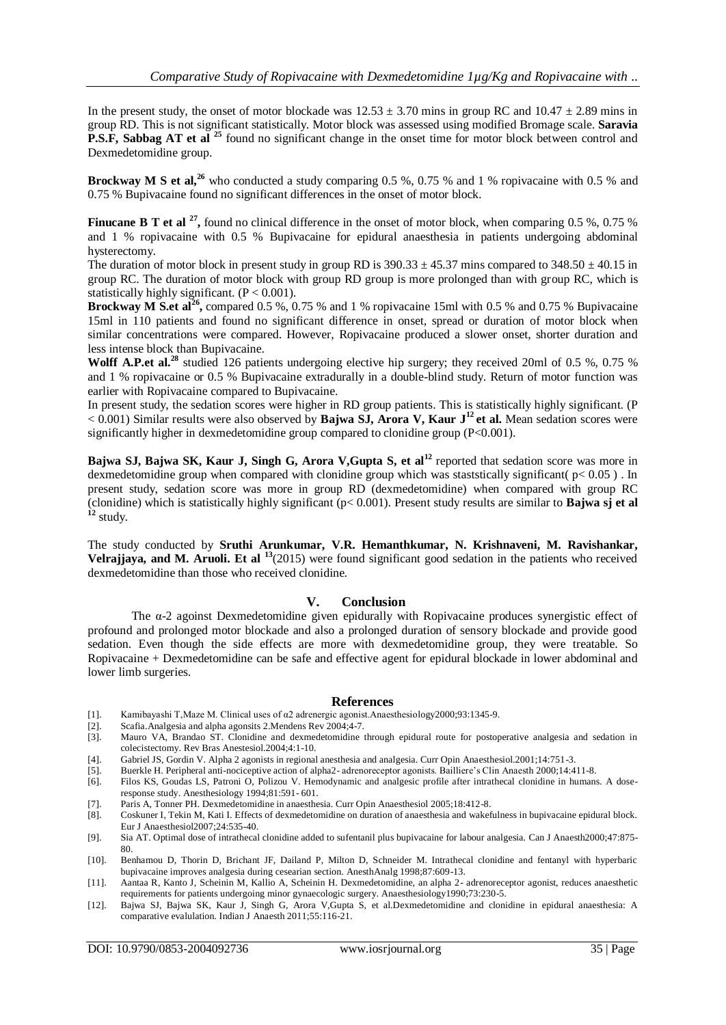In the present study, the onset of motor blockade was  $12.53 \pm 3.70$  mins in group RC and  $10.47 \pm 2.89$  mins in group RD. This is not significant statistically. Motor block was assessed using modified Bromage scale. **Saravia P.S.F, Sabbag AT et al** <sup>25</sup> found no significant change in the onset time for motor block between control and Dexmedetomidine group.

**Brockway M S et al,<sup>26</sup>** who conducted a study comparing 0.5 %, 0.75 % and 1 % ropivacaine with 0.5 % and 0.75 % Bupivacaine found no significant differences in the onset of motor block.

**Finucane B T et al <sup>27</sup>**, found no clinical difference in the onset of motor block, when comparing 0.5 %, 0.75 % and 1 % ropivacaine with 0.5 % Bupivacaine for epidural anaesthesia in patients undergoing abdominal hysterectomy.

The duration of motor block in present study in group RD is  $390.33 \pm 45.37$  mins compared to  $348.50 \pm 40.15$  in group RC. The duration of motor block with group RD group is more prolonged than with group RC, which is statistically highly significant.  $(P < 0.001)$ .

**Brockway M S.et al<sup>26</sup>**, compared 0.5 %, 0.75 % and 1 % ropivacaine 15ml with 0.5 % and 0.75 % Bupivacaine 15ml in 110 patients and found no significant difference in onset, spread or duration of motor block when similar concentrations were compared. However, Ropivacaine produced a slower onset, shorter duration and less intense block than Bupivacaine.

**Wolff A.P.et al.<sup>28</sup>** studied 126 patients undergoing elective hip surgery; they received 20ml of 0.5 %, 0.75 % and 1 % ropivacaine or 0.5 % Bupivacaine extradurally in a double-blind study. Return of motor function was earlier with Ropivacaine compared to Bupivacaine.

In present study, the sedation scores were higher in RD group patients. This is statistically highly significant. (P < 0.001) Similar results were also observed by **Bajwa SJ, Arora V, Kaur J<sup>12</sup> et al.** Mean sedation scores were significantly higher in dexmedetomidine group compared to clonidine group (P<0.001).

**Bajwa SJ, Bajwa SK, Kaur J, Singh G, Arora V,Gupta S, et al<sup>12</sup>** reported that sedation score was more in dexmedetomidine group when compared with clonidine group which was staststically significant( $p < 0.05$ ). In present study, sedation score was more in group RD (dexmedetomidine) when compared with group RC (clonidine) which is statistically highly significant (p< 0.001). Present study results are similar to **Bajwa sj et al <sup>12</sup>** study.

The study conducted by **Sruthi Arunkumar, V.R. Hemanthkumar, N. Krishnaveni, M. Ravishankar, Velrajjaya, and M. Aruoli. Et al <sup>13</sup>**(2015) were found significant good sedation in the patients who received dexmedetomidine than those who received clonidine.

## **V. Conclusion**

The α-2 agoinst Dexmedetomidine given epidurally with Ropivacaine produces synergistic effect of profound and prolonged motor blockade and also a prolonged duration of sensory blockade and provide good sedation. Even though the side effects are more with dexmedetomidine group, they were treatable. So Ropivacaine + Dexmedetomidine can be safe and effective agent for epidural blockade in lower abdominal and lower limb surgeries.

## **References**

- [1]. Kamibayashi T,Maze M. Clinical uses of α2 adrenergic agonist.Anaesthesiology2000;93:1345-9.
- [2]. Scafia.Analgesia and alpha agonsits 2.Mendens Rev 2004;4-7.
- [3]. Mauro VA, Brandao ST. Clonidine and dexmedetomidine through epidural route for postoperative analgesia and sedation in colecistectomy. Rev Bras Anestesiol.2004;4:1-10.
- [4]. Gabriel JS, Gordin V. Alpha 2 agonists in regional anesthesia and analgesia. Curr Opin Anaesthesiol.2001;14:751-3.
- [5]. Buerkle H. Peripheral anti-nociceptive action of alpha2- adrenoreceptor agonists. Bailliere's Clin Anaesth 2000;14:411-8.
- Filos KS, Goudas LS, Patroni O, Polizou V. Hemodynamic and analgesic profile after intrathecal clonidine in humans. A doseresponse study. Anesthesiology 1994;81:591- 601.
- [7]. Paris A, Tonner PH. Dexmedetomidine in anaesthesia. Curr Opin Anaesthesiol 2005;18:412-8.
- [8]. Coskuner I, Tekin M, Kati I. Effects of dexmedetomidine on duration of anaesthesia and wakefulness in bupivacaine epidural block. Eur J Anaesthesiol2007;24:535-40.
- [9]. Sia AT. Optimal dose of intrathecal clonidine added to sufentanil plus bupivacaine for labour analgesia. Can J Anaesth2000;47:875- 80.
- [10]. Benhamou D, Thorin D, Brichant JF, Dailand P, Milton D, Schneider M. Intrathecal clonidine and fentanyl with hyperbaric bupivacaine improves analgesia during cesearian section. AnesthAnalg 1998;87:609-13.
- [11]. Aantaa R, Kanto J, Scheinin M, Kallio A, Scheinin H. Dexmedetomidine, an alpha 2- adrenoreceptor agonist, reduces anaesthetic requirements for patients undergoing minor gynaecologic surgery. Anaesthesiology1990;73:230-5.
- [12]. Bajwa SJ, Bajwa SK, Kaur J, Singh G, Arora V,Gupta S, et al.Dexmedetomidine and clonidine in epidural anaesthesia: A comparative evalulation. Indian J Anaesth 2011;55:116-21.